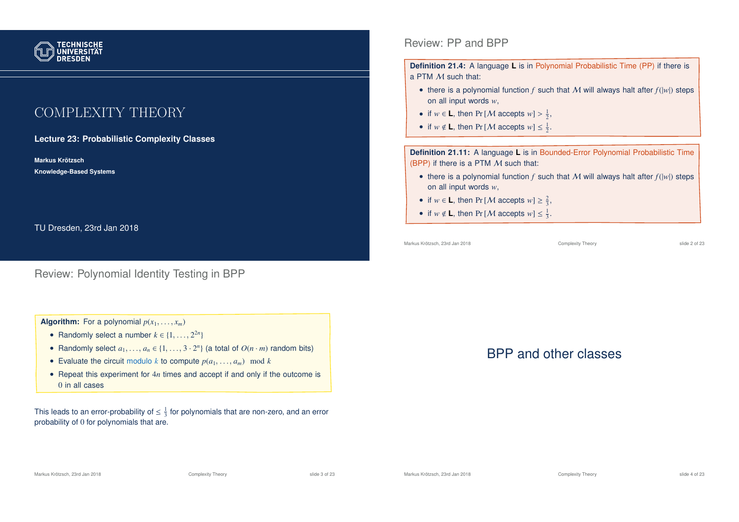

# COMPLEXITY THEORY

**Lecture 23: Probabilistic Complexity Classes**

**Markus Krotzsch ¨ Knowledge-Based Systems**

TU Dresden, 23rd Jan 2018

#### Review: Polynomial Identity Testing in BPP

#### **Algorithm:** For a polynomial  $p(x_1, \ldots, x_m)$

- Randomly select a number  $k \in \{1, \ldots, 2^{2n}\}\$
- Randomly select  $a_1, \ldots, a_n \in \{1, \ldots, 3 \cdot 2^n\}$  (a total of  $O(n \cdot m)$  random bits)
- Evaluate the circuit modulo *k* to compute  $p(a_1, \ldots, a_m) \mod k$
- Repeat this experiment for 4*n* times and accept if and only if the outcome is 0 in all cases

This leads to an error-probability of  $\leq \frac{1}{3}$  for polynomials that are non-zero, and an error probability of 0 for polynomials that are.

Review: PP and BPP

**Definition 21.4:** A language **L** is in Polynomial Probabilistic Time (PP) if there is a PTM M such that:

- there is a polynomial function  $f$  such that  $M$  will always halt after  $f(|w|)$  steps on all input words *w*,
- if  $w \in L$ , then Pr [*M* accepts  $w$ ] >  $\frac{1}{2}$ ,
- if  $w \notin L$ , then Pr [*M* accepts  $w \leq \frac{1}{2}$ .

**Definition 21.11:** A language **L** is in Bounded-Error Polynomial Probabilistic Time (BPP) if there is a PTM  $M$  such that:

- there is a polynomial function  $f$  such that  $M$  will always halt after  $f(|w|)$  steps on all input words *w*,
- if  $w \in L$ , then Pr [*M* accepts  $w \geq \frac{2}{3}$ ,
- if  $w \notin L$ , then Pr [*M* accepts  $w \leq \frac{1}{3}$ .

Markus Krötzsch, 23rd Jan 2018 Complexity Theory slide 2 of 23

# BPP and other classes

Markus Krötzsch, 23rd Jan 2018 **Complexity Theory** Complexity Theory slide 3 of 23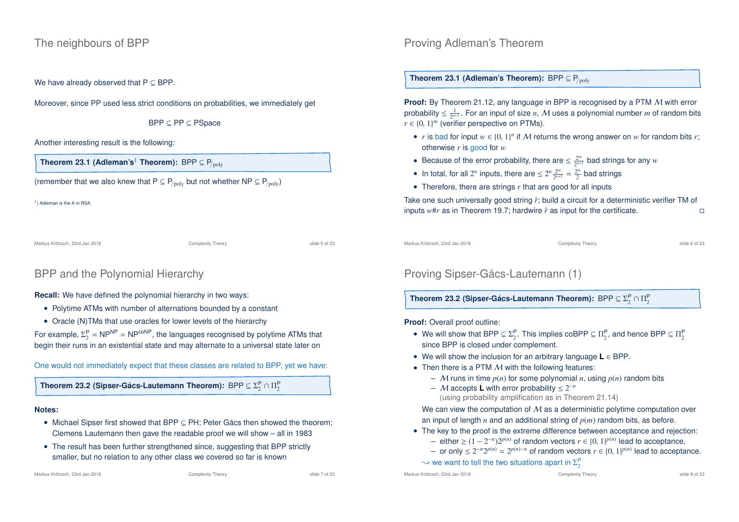#### The neighbours of BPP

We have already observed that  $P \subseteq BPP$ .

Moreover, since PP used less strict conditions on probabilities, we immediately get

BPP ⊆ PP ⊆ PSpace

Another interesting result is the following:

**Theorem 23.1 (Adleman's<sup>1</sup> Theorem):** BPP  $\subseteq$  P<sub>/poly</sub>

(remember that we also knew that  $P \subseteq P_{\text{poly}}$  but not whether NP  $\subseteq P_{\text{poly}}$ )

<sup>1</sup>) Adleman is the A in RSA.

Markus Krötzsch, 23rd Jan 2018 Complexity Theory slide 5 of 23

### BPP and the Polynomial Hierarchy

**Recall:** We have defined the polynomial hierarchy in two ways:

- Polytime ATMs with number of alternations bounded by a constant
- Oracle (N)TMs that use oracles for lower levels of the hierarchy

For example,  $\Sigma_2^{\text{P}}$  = NP<sup>NP</sup> = NP<sup>coNP</sup>, the languages recognised by polytime ATMs that begin their runs in an existential state and may alternate to a universal state later on

One would not immediately expect that these classes are related to BPP, yet we have:

**Theorem 23.2 (Sipser-Gács-Lautemann Theorem):**  $\mathsf{BPP} \subseteq \Sigma^\mathsf{P}_2 \cap \Pi^\mathsf{P}_2$ 

#### **Notes:**

- Michael Sipser first showed that BPP ⊆ PH; Peter Gács then showed the theorem; Clemens Lautemann then gave the readable proof we will show – all in 1983
- The result has been further strengthened since, suggesting that BPP strictly smaller, but no relation to any other class we covered so far is known

### Proving Adleman's Theorem

**Theorem 23.1 (Adleman's Theorem):** BPP  $\subseteq$  P<sub>/poly</sub>

**Proof:** By Theorem 21.12, any language in BPP is recognised by a PTM M with error probability  $\leq \frac{1}{2^{n+1}}$ . For an input of size *n*,  $\mathcal M$  uses a polynomial number  $m$  of random bits  $r \in \{0, 1\}^m$  (verifier perspective on PTMs).

- *r* is bad for input  $w \in \{0, 1\}^n$  if M returns the wrong answer on *w* for random bits *r*; otherwise *r* is good for *w*
- Because of the error probability, there are  $\leq \frac{2^m}{2^{n+1}}$  $\frac{2^m}{2^{n+1}}$  bad strings for any  $w$
- In total, for all  $2^n$  inputs, there are  $\leq 2^n \frac{2^m}{2^{n+1}}$  $\frac{2^m}{2^{n+1}} = \frac{2^m}{2}$  bad strings
- Therefore, there are strings *r* that are good for all inputs

Take one such universally good string  $\hat{r}$ ; build a circuit for a deterministic verifier TM of inputs  $w#r$  as in Theorem 19.7; hardwire  $\hat{r}$  as input for the certificate.  $□$ 

Markus Krötzsch, 23rd Jan 2018 Complexity Theory Complexity Theory Slide 6 of 23

# Proving Sipser-Gács-Lautemann (1)

**Theorem 23.2 (Sipser-Gács-Lautemann Theorem):** BPP  $\subseteq \Sigma_2^{\mathsf{P}} \cap \Pi_2^{\mathsf{P}}$ 

**Proof:** Overall proof outline:

- We will show that BPP  $\subseteq \Sigma_2^P$ . This implies coBPP  $\subseteq \Pi_2^P$ , and hence BPP  $\subseteq \Pi_2^P$ since BPP is closed under complement.
- We will show the inclusion for an arbitrary language **L** ∈ BPP.
- Then there is a PTM  $M$  with the following features:
	- M runs in time *p*(*n*) for some polynomial *n*, using *p*(*n*) random bits
	- $-$  *M* accepts **L** with error probability  $\leq 2^{-n}$ (using probability amplification as in Theorem 21.14)

We can view the computation of  $M$  as a deterministic polytime computation over an input of length *n* and an additional string of *p*(*m*) random bits, as before.

- The key to the proof is the extreme difference between acceptance and rejection:
	- − either  $\geq (1-2^{-n})2^{p(n)}$  of random vectors  $r \in \{0, 1\}^{p(n)}$  lead to acceptance,
	- *−* or only ≤  $2^{-n}2^{p(n)} = 2^{p(n)-n}$  of random vectors  $r \in \{0, 1\}^{p(n)}$  lead to acceptance.  $\rightsquigarrow$  we want to tell the two situations apart in  $\Sigma^\mathsf{P}_2$

Markus Krötzsch, 23rd Jan 2018 Complexity Theory slide 8 of 23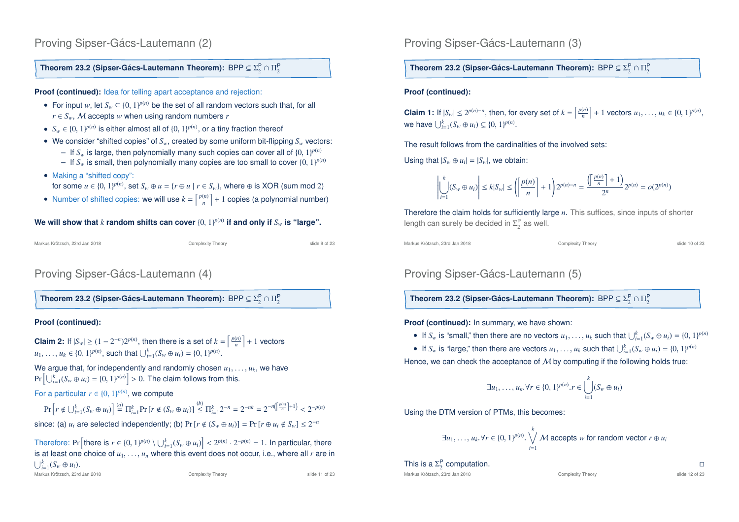### Proving Sipser-Gács-Lautemann (2)

#### **Theorem 23.2 (Sipser-Gács-Lautemann Theorem):**  $\mathsf{BPP} \subseteq \Sigma^\mathsf{P}_2 \cap \Pi^\mathsf{P}_2$

**Proof (continued):** Idea for telling apart acceptance and rejection:

- For input *w*, let  $S_w \subseteq \{0, 1\}^{p(n)}$  be the set of all random vectors such that, for all  $r \in S_w$ , M accepts *w* when using random numbers *r*
- $S_w \in \{0, 1\}^{p(n)}$  is either almost all of  $\{0, 1\}^{p(n)}$ , or a tiny fraction thereof
- We consider "shifted copies" of *Sw*, created by some uniform bit-flipping *S<sup>w</sup>* vectors:
	- $-$  If  $S_w$  is large, then polynomially many such copies can cover all of  $\{0, 1\}^{p(n)}$
	- $-$  If  $S_w$  is small, then polynomially many copies are too small to cover  $\{0, 1\}^{p(n)}$
- Making a "shifted copy":

for some  $u \in \{0, 1\}^{p(n)}$ , set  $S_w \oplus u = \{r \oplus u \mid r \in S_w\}$ , where  $\oplus$  is XOR (sum mod 2)

• Number of shifted copies: we will use  $k = \left\lceil \frac{p(n)}{n} \right\rceil + 1$  copies (a polynomial number)

We will show that *k* random shifts can cover  $\{0, 1\}^{p(n)}$  if and only if  $S_w$  is "large".

```
Markus Krötzsch, 23rd Jan 2018 Complexity Theory slide 9 of 23
```
### Proving Sipser-Gács-Lautemann (4)

**Theorem 23.2 (Sipser-Gács-Lautemann Theorem):**  $\mathsf{BPP} \subseteq \Sigma^\mathsf{P}_2 \cap \Pi^\mathsf{P}_2$ 

#### **Proof (continued):**

**Claim 2:** If  $|S_w| \ge (1 - 2^{-n})2^{p(n)}$ , then there is a set of  $k = \left\lceil \frac{p(n)}{n} \right\rceil + 1$  vectors  $u_1, \ldots, u_k \in \{0, 1\}^{p(n)}$ , such that  $\bigcup_{i=1}^k (S_w \oplus u_i) = \{0, 1\}^{p(n)}$ .

We argue that, for independently and randomly chosen  $u_1, \ldots, u_k$ , we have  $\Pr\left[\bigcup_{i=1}^{k}(S_w \oplus u_i) = \{0, 1\}^{p(n)}\right] > 0.$  The claim follows from this.

For a particular  $r \in \{0, 1\}^{p(n)}$ , we compute

 $\Pr\left[r \notin \bigcup_{i=1}^{k}(S_w \oplus u_i)\right] \stackrel{(a)}{=} \Pi_{i=1}^k \Pr\left[r \notin (S_w \oplus u_i)\right] \stackrel{(b)}{\leq} \Pi_{i=1}^k 2^{-n} = 2^{-nk} = 2^{-n\left(\left\lceil \frac{p(n)}{n} \right\rceil + 1\right)} < 2^{-p(n)}$ since: (a)  $u_i$  are selected independently; (b)  $Pr[r \notin (S_w \oplus u_i)] = Pr[r \oplus u_i \notin S_w] \leq 2^{-n}$ 

Therefore: Pr  $\left[\text{there is } r \in \{0, 1\}^{p(n)} \setminus \bigcup_{i=1}^{k} (S_w \oplus u_i)\right] < 2^{p(n)} \cdot 2^{-p(n)} = 1.$  In particular, there is at least one choice of  $u_1, \ldots, u_n$  where this event does not occur, i.e., where all  $r$  are in  $\bigcup_{i=1}^k (S_w \oplus u_i).$ 

Proving Sipser-Gács-Lautemann (3)

**Theorem 23.2 (Sipser-Gács-Lautemann Theorem):**  $\mathsf{BPP} \subseteq \Sigma^\mathsf{P}_2 \cap \Pi^\mathsf{P}_2$ 

#### **Proof (continued):**

**Claim 1:** If  $|S_w| \le 2^{p(n)-n}$ , then, for every set of  $k = \left\lceil \frac{p(n)}{n} \right\rceil + 1$  vectors  $u_1, \ldots, u_k \in \{0, 1\}^{p(n)}$ , we have  $\bigcup_{i=1}^{k} (S_w \oplus u_i) \subsetneq \{0, 1\}^{p(n)}$ .

The result follows from the cardinalities of the involved sets:

Using that  $|S_w \oplus u_i| = |S_w|$ , we obtain:

$$
\left| \bigcup_{i=1}^{k} (S_w \oplus u_i) \right| \le k|S_w| \le \left( \left\lceil \frac{p(n)}{n} \right\rceil + 1 \right) 2^{p(n)-n} = \frac{\left( \left\lceil \frac{p(n)}{n} \right\rceil + 1 \right)}{2^n} 2^{p(n)} = o(2^{p(n)})
$$

Therefore the claim holds for sufficiently large *n*. This suffices, since inputs of shorter length can surely be decided in  $\Sigma_2^{\mathsf{P}}$  as well.

Markus Krötzsch, 23rd Jan 2018 Complexity Theory slide 10 of 23

### Proving Sipser-Gács-Lautemann (5)

**Theorem 23.2 (Sipser-Gács-Lautemann Theorem):** BPP  $\subseteq \Sigma_2^{\mathsf{P}} \cap \Pi_2^{\mathsf{P}}$ 

**Proof (continued):** In summary, we have shown:

• If  $S_w$  is "small," then there are no vectors  $u_1, \ldots, u_k$  such that  $\bigcup_{i=1}^k (S_w \oplus u_i) = \{0, 1\}^{p(n)}$ 

• If  $S_w$  is "large," then there are vectors  $u_1, \ldots, u_k$  such that  $\bigcup_{i=1}^k (S_w \oplus u_i) = \{0, 1\}^{p(n)}$ Hence, we can check the acceptance of  $M$  by computing if the following holds true:

$$
\exists u_1,\ldots,u_k.\forall r\in\{0,1\}^{p(n)}.r\in \bigcup_{i=1}^k (S_w\oplus u_i)
$$

Using the DTM version of PTMs, this becomes:

$$
\exists u_1, \ldots, u_k. \forall r \in \{0, 1\}^{p(n)}.\bigvee_{i=1}^k M \text{ accepts } w \text{ for random vector } r \oplus u_i
$$

This is a  $\Sigma_2^{\rm P}$  computation.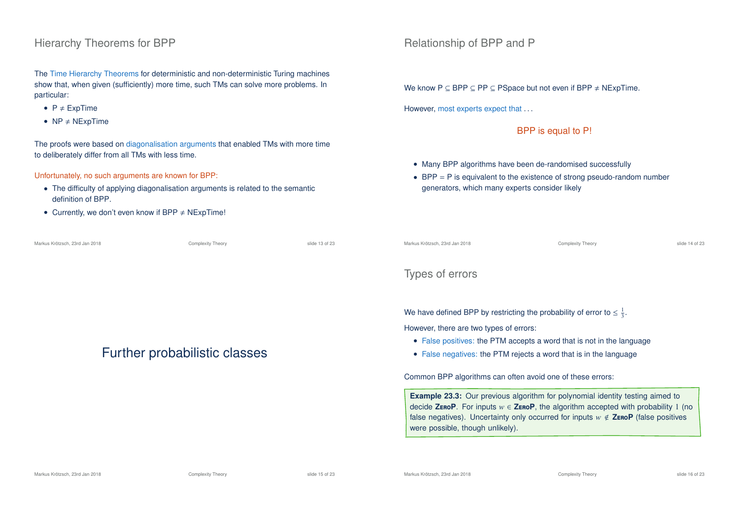#### Hierarchy Theorems for BPP

The Time Hierarchy Theorems for deterministic and non-deterministic Turing machines show that, when given (sufficiently) more time, such TMs can solve more problems. In particular:

- $P \neq ExpTime$
- $NP \neq NExpTime$

The proofs were based on diagonalisation arguments that enabled TMs with more time to deliberately differ from all TMs with less time.

Unfortunately, no such arguments are known for BPP:

- The difficulty of applying diagonalisation arguments is related to the semantic definition of BPP.
- Currently, we don't even know if BPP  $\neq$  NExpTime!

| Markus Krötzsch. 23rd Jan 2018 | <b>Complexity Theory</b> | slide 13 of 23 |
|--------------------------------|--------------------------|----------------|
|                                |                          |                |

# Further probabilistic classes

Relationship of BPP and P

We know  $P \subseteq BPP \subseteq PP \subseteq P$ Space but not even if  $BPP \neq N$ ExpTime.

However, most experts expect that ...

BPP is equal to P!

- Many BPP algorithms have been de-randomised successfully
- $\bullet$  BPP = P is equivalent to the existence of strong pseudo-random number generators, which many experts consider likely

Markus Krötzsch, 23rd Jan 2018 Complexity Theory slide 14 of 23

### Types of errors

We have defined BPP by restricting the probability of error to  $\leq \frac{1}{3}$ .

However, there are two types of errors:

- False positives: the PTM accepts a word that is not in the language
- False negatives: the PTM rejects a word that is in the language

Common BPP algorithms can often avoid one of these errors:

**Example 23.3:** Our previous algorithm for polynomial identity testing aimed to decide **ZEROP**. For inputs  $w \in$  **ZEROP**, the algorithm accepted with probability 1 (no false negatives). Uncertainty only occurred for inputs  $w \notin \mathsf{ZeroP}$  (false positives were possible, though unlikely).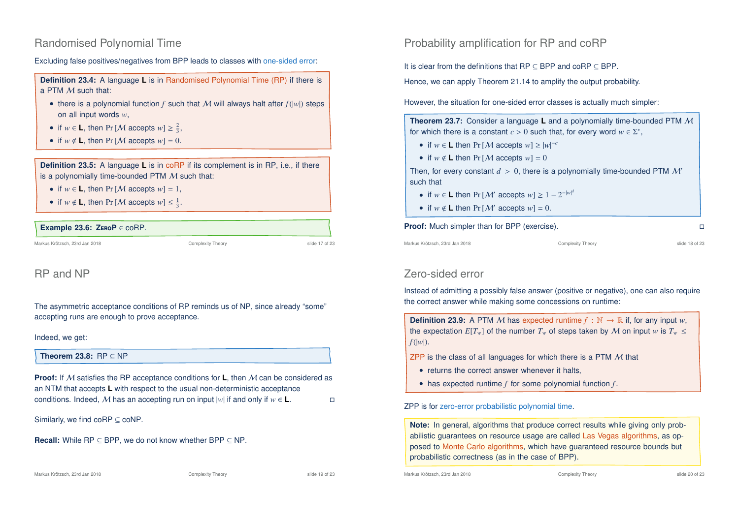### Randomised Polynomial Time

Excluding false positives/negatives from BPP leads to classes with one-sided error:

**Definition 23.4:** A language **L** is in Randomised Polynomial Time (RP) if there is a PTM M such that:

- there is a polynomial function  $f$  such that  $M$  will always halt after  $f(|w|)$  steps on all input words *w*,
- if  $w \in L$ , then Pr [*M* accepts  $w \geq \frac{2}{3}$ ,
- if  $w \notin L$ , then  $Pr[M \text{ accepts } w] = 0$ .

**Definition 23.5:** A language **L** is in coRP if its complement is in RP, i.e., if there is a polynomially time-bounded PTM  $M$  such that:

- if  $w \in L$ , then  $Pr[M \text{ accepts } w] = 1$ ,
- if  $w \notin L$ , then Pr [*M* accepts  $w \leq \frac{1}{3}$ .

#### **Example 23.6: Z**ero**P** ∈ coRP.

Markus Krötzsch, 23rd Jan 2018 Complexity Theory slide 17 of 23

### RP and NP

The asymmetric acceptance conditions of RP reminds us of NP, since already "some" accepting runs are enough to prove acceptance.

#### Indeed, we get:

**Theorem 23.8:** RP ⊆ NP

**Proof:** If M satisfies the RP acceptance conditions for **L**, then M can be considered as an NTM that accepts **L** with respect to the usual non-deterministic acceptance conditions. Indeed, M has an accepting run on input  $|w|$  if and only if  $w \in L$ . □

Similarly, we find  $coRP \subseteq coNP$ .

**Recall:** While RP ⊆ BPP, we do not know whether BPP ⊆ NP.

Markus Krötzsch, 23rd Jan 2018 Complexity Theory Complexity Theory slide 19 of 23

Probability amplification for RP and coRP

It is clear from the definitions that RP ⊆ BPP and coRP ⊆ BPP.

Hence, we can apply Theorem 21.14 to amplify the output probability.

However, the situation for one-sided error classes is actually much simpler:

**Theorem 23.7:** Consider a language **L** and a polynomially time-bounded PTM M for which there is a constant  $c > 0$  such that, for every word  $w \in \Sigma^*$ ,

- if  $w \in L$  then Pr [*M* accepts  $w \ge |w|^{-c}$
- if  $w \notin L$  then  $Pr[M \text{ accepts } w] = 0$

Then, for every constant  $d > 0$ , there is a polynomially time-bounded PTM M' such that

- if  $w \in L$  then Pr  $[M'$  accepts  $w] \ge 1 2^{-|w|^d}$
- if  $w \notin L$  then  $Pr[M'$  accepts  $w] = 0$ .

#### **Proof:** Much simpler than for BPP (exercise).

Markus Krötzsch, 23rd Jan 2018 Complexity Theory slide 18 of 23

## Zero-sided error

Instead of admitting a possibly false answer (positive or negative), one can also require the correct answer while making some concessions on runtime:

**Definition 23.9:** A PTM M has expected runtime  $f : \mathbb{N} \to \mathbb{R}$  if, for any input w. the expectation  $E[T_w]$  of the number  $T_w$  of steps taken by M on input *w* is  $T_w \leq$ *f*(|*w*|).

ZPP is the class of all languages for which there is a PTM  $M$  that

- returns the correct answer whenever it halts,
- has expected runtime *f* for some polynomial function *f* .

ZPP is for zero-error probabilistic polynomial time.

**Note:** In general, algorithms that produce correct results while giving only probabilistic guarantees on resource usage are called Las Vegas algorithms, as opposed to Monte Carlo algorithms, which have guaranteed resource bounds but probabilistic correctness (as in the case of BPP).